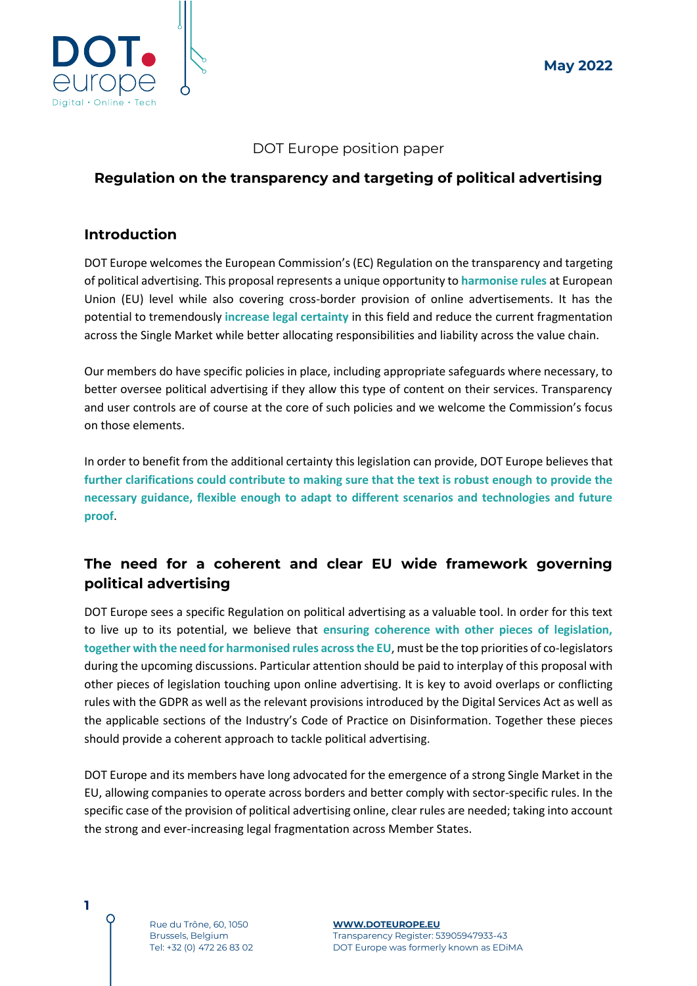

#### DOT Europe position paper

### **Regulation on the transparency and targeting of political advertising**

#### **Introduction**

DOT Europe welcomes the European Commission's (EC) Regulation on the transparency and targeting of political advertising. This proposal represents a unique opportunity to **harmonise rules** at European Union (EU) level while also covering cross-border provision of online advertisements. It has the potential to tremendously **increase legal certainty** in this field and reduce the current fragmentation across the Single Market while better allocating responsibilities and liability across the value chain.

Our members do have specific policies in place, including appropriate safeguards where necessary, to better oversee political advertising if they allow this type of content on their services. Transparency and user controls are of course at the core of such policies and we welcome the Commission's focus on those elements.

In order to benefit from the additional certainty this legislation can provide, DOT Europe believes that **further clarifications could contribute to making sure that the text is robust enough to provide the necessary guidance, flexible enough to adapt to different scenarios and technologies and future proof**.

## **The need for a coherent and clear EU wide framework governing political advertising**

DOT Europe sees a specific Regulation on political advertising as a valuable tool. In order for this text to live up to its potential, we believe that **ensuring coherence with other pieces of legislation, together with the need for harmonised rules across the EU**, must be the top priorities of co-legislators during the upcoming discussions. Particular attention should be paid to interplay of this proposal with other pieces of legislation touching upon online advertising. It is key to avoid overlaps or conflicting rules with the GDPR as well as the relevant provisions introduced by the Digital Services Act as well as the applicable sections of the Industry's Code of Practice on Disinformation. Together these pieces should provide a coherent approach to tackle political advertising.

DOT Europe and its members have long advocated for the emergence of a strong Single Market in the EU, allowing companies to operate across borders and better comply with sector-specific rules. In the specific case of the provision of political advertising online, clear rules are needed; taking into account the strong and ever-increasing legal fragmentation across Member States.

Rue du Trône, 60, 1050 Brussels, Belgium Tel: +32 (0) 472 26 83 02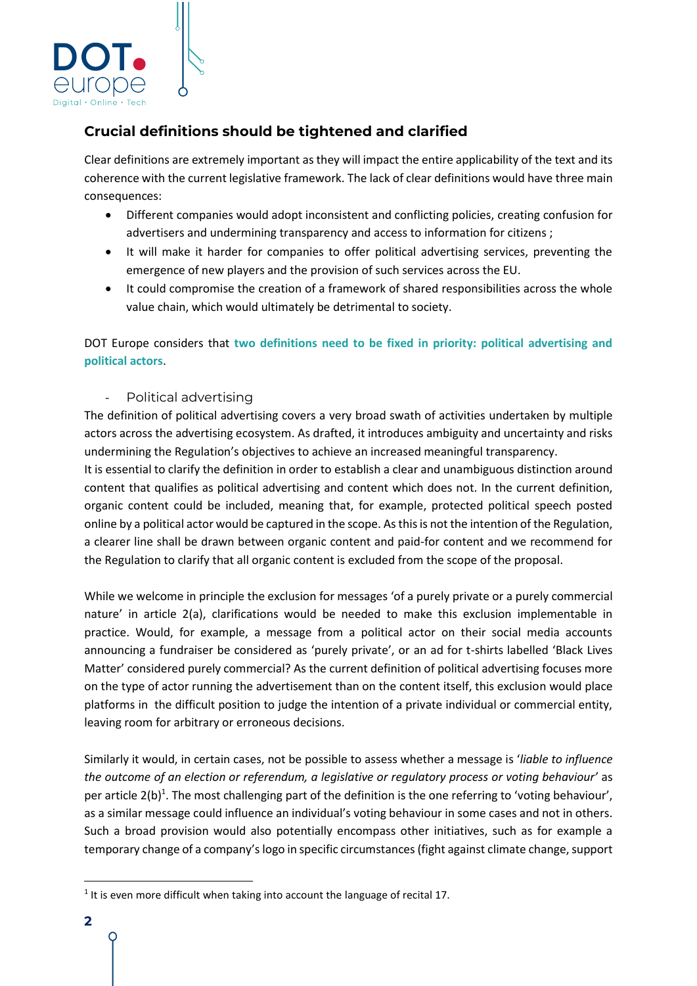

# **Crucial definitions should be tightened and clarified**

Clear definitions are extremely important as they will impact the entire applicability of the text and its coherence with the current legislative framework. The lack of clear definitions would have three main consequences:

- Different companies would adopt inconsistent and conflicting policies, creating confusion for advertisers and undermining transparency and access to information for citizens ;
- It will make it harder for companies to offer political advertising services, preventing the emergence of new players and the provision of such services across the EU.
- It could compromise the creation of a framework of shared responsibilities across the whole value chain, which would ultimately be detrimental to society.

DOT Europe considers that **two definitions need to be fixed in priority: political advertising and political actors**.

- Political advertising

The definition of political advertising covers a very broad swath of activities undertaken by multiple actors across the advertising ecosystem. As drafted, it introduces ambiguity and uncertainty and risks undermining the Regulation's objectives to achieve an increased meaningful transparency.

It is essential to clarify the definition in order to establish a clear and unambiguous distinction around content that qualifies as political advertising and content which does not. In the current definition, organic content could be included, meaning that, for example, protected political speech posted online by a political actor would be captured in the scope. As this is not the intention of the Regulation, a clearer line shall be drawn between organic content and paid-for content and we recommend for the Regulation to clarify that all organic content is excluded from the scope of the proposal.

While we welcome in principle the exclusion for messages 'of a purely private or a purely commercial nature' in article 2(a), clarifications would be needed to make this exclusion implementable in practice. Would, for example, a message from a political actor on their social media accounts announcing a fundraiser be considered as 'purely private', or an ad for t-shirts labelled 'Black Lives Matter' considered purely commercial? As the current definition of political advertising focuses more on the type of actor running the advertisement than on the content itself, this exclusion would place platforms in the difficult position to judge the intention of a private individual or commercial entity, leaving room for arbitrary or erroneous decisions.

Similarly it would, in certain cases, not be possible to assess whether a message is '*liable to influence the outcome of an election or referendum, a legislative or regulatory process or voting behaviour'* as per article 2(b)<sup>1</sup>. The most challenging part of the definition is the one referring to 'voting behaviour', as a similar message could influence an individual's voting behaviour in some cases and not in others. Such a broad provision would also potentially encompass other initiatives, such as for example a temporary change of a company's logo in specific circumstances (fight against climate change, support

 $<sup>1</sup>$  It is even more difficult when taking into account the language of recital 17.</sup>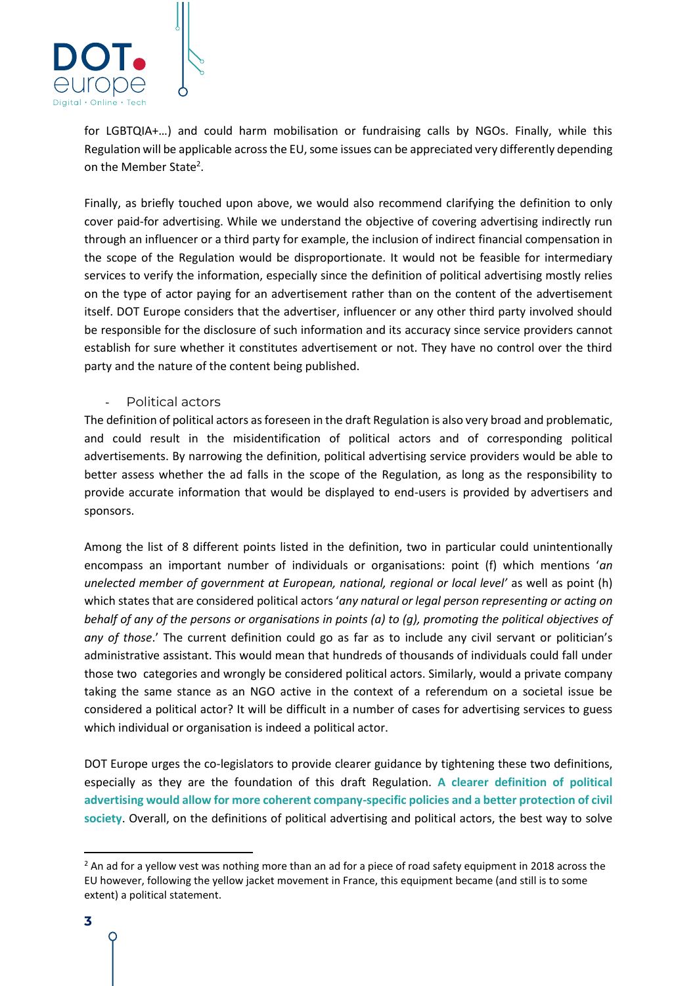

for LGBTQIA+…) and could harm mobilisation or fundraising calls by NGOs. Finally, while this Regulation will be applicable across the EU, some issues can be appreciated very differently depending on the Member State<sup>2</sup>.

Finally, as briefly touched upon above, we would also recommend clarifying the definition to only cover paid-for advertising. While we understand the objective of covering advertising indirectly run through an influencer or a third party for example, the inclusion of indirect financial compensation in the scope of the Regulation would be disproportionate. It would not be feasible for intermediary services to verify the information, especially since the definition of political advertising mostly relies on the type of actor paying for an advertisement rather than on the content of the advertisement itself. DOT Europe considers that the advertiser, influencer or any other third party involved should be responsible for the disclosure of such information and its accuracy since service providers cannot establish for sure whether it constitutes advertisement or not. They have no control over the third party and the nature of the content being published.

#### Political actors

The definition of political actors as foreseen in the draft Regulation is also very broad and problematic, and could result in the misidentification of political actors and of corresponding political advertisements. By narrowing the definition, political advertising service providers would be able to better assess whether the ad falls in the scope of the Regulation, as long as the responsibility to provide accurate information that would be displayed to end-users is provided by advertisers and sponsors.

Among the list of 8 different points listed in the definition, two in particular could unintentionally encompass an important number of individuals or organisations: point (f) which mentions '*an unelected member of government at European, national, regional or local level'* as well as point (h) which states that are considered political actors '*any natural or legal person representing or acting on behalf of any of the persons or organisations in points (a) to (g), promoting the political objectives of any of those*.' The current definition could go as far as to include any civil servant or politician's administrative assistant. This would mean that hundreds of thousands of individuals could fall under those two categories and wrongly be considered political actors. Similarly, would a private company taking the same stance as an NGO active in the context of a referendum on a societal issue be considered a political actor? It will be difficult in a number of cases for advertising services to guess which individual or organisation is indeed a political actor.

DOT Europe urges the co-legislators to provide clearer guidance by tightening these two definitions, especially as they are the foundation of this draft Regulation. **A clearer definition of political advertising would allow for more coherent company-specific policies and a better protection of civil society**. Overall, on the definitions of political advertising and political actors, the best way to solve

 $<sup>2</sup>$  An ad for a yellow vest was nothing more than an ad for a piece of road safety equipment in 2018 across the</sup> EU however, following the yellow jacket movement in France, this equipment became (and still is to some extent) a political statement.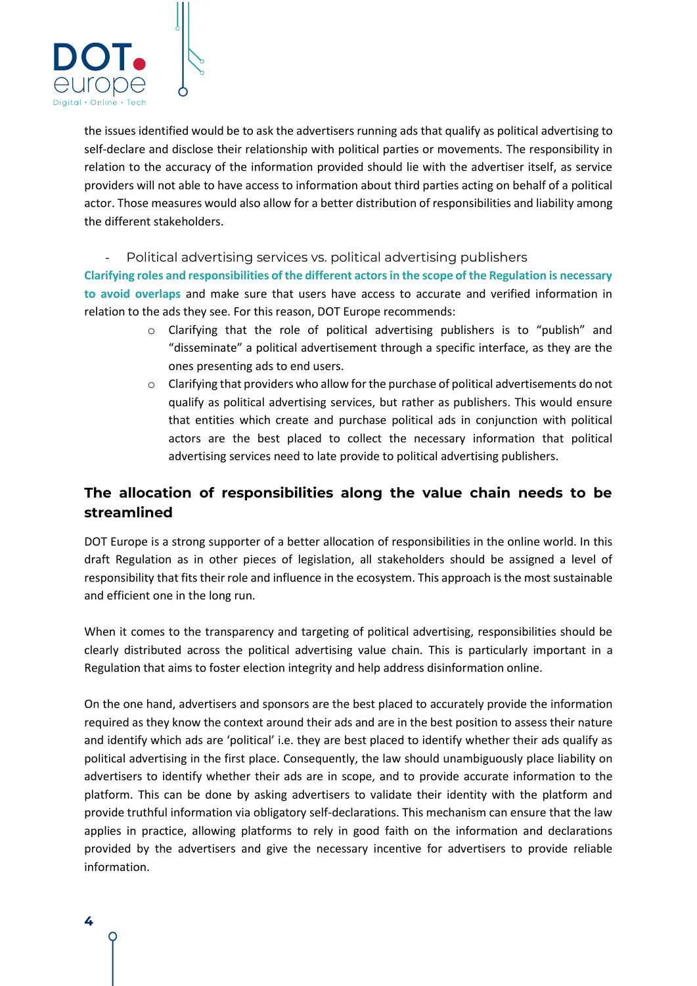

the issues identified would be to ask the advertisers running ads that qualify as political advertising to self-declare and disclose their relationship with political parties or movements. The responsibility in relation to the accuracy of the information provided should lie with the advertiser itself, as service providers will not able to have access to information about third parties acting on behalf of a political actor. Those measures would also allow for a better distribution of responsibilities and liability among the different stakeholders.

Political advertising services vs. political advertising publishers

**Clarifying roles and responsibilities of the different actors in the scope of the Regulation is necessary to avoid overlaps** and make sure that users have access to accurate and verified information in relation to the ads they see. For this reason, DOT Europe recommends:

- o Clarifying that the role of political advertising publishers is to "publish" and "disseminate" a political advertisement through a specific interface, as they are the ones presenting ads to end users.
- $\circ$  Clarifying that providers who allow for the purchase of political advertisements do not qualify as political advertising services, but rather as publishers. This would ensure that entities which create and purchase political ads in conjunction with political actors are the best placed to collect the necessary information that political advertising services need to late provide to political advertising publishers.

## **The allocation of responsibilities along the value chain needs to be streamlined**

DOT Europe is a strong supporter of a better allocation of responsibilities in the online world. In this draft Regulation as in other pieces of legislation, all stakeholders should be assigned a level of responsibility that fits their role and influence in the ecosystem. This approach is the most sustainable and efficient one in the long run.

When it comes to the transparency and targeting of political advertising, responsibilities should be clearly distributed across the political advertising value chain. This is particularly important in a Regulation that aims to foster election integrity and help address disinformation online.

On the one hand, advertisers and sponsors are the best placed to accurately provide the information required as they know the context around their ads and are in the best position to assess their nature and identify which ads are 'political' i.e. they are best placed to identify whether their ads qualify as political advertising in the first place. Consequently, the law should unambiguously place liability on advertisers to identify whether their ads are in scope, and to provide accurate information to the platform. This can be done by asking advertisers to validate their identity with the platform and provide truthful information via obligatory self-declarations. This mechanism can ensure that the law applies in practice, allowing platforms to rely in good faith on the information and declarations provided by the advertisers and give the necessary incentive for advertisers to provide reliable information.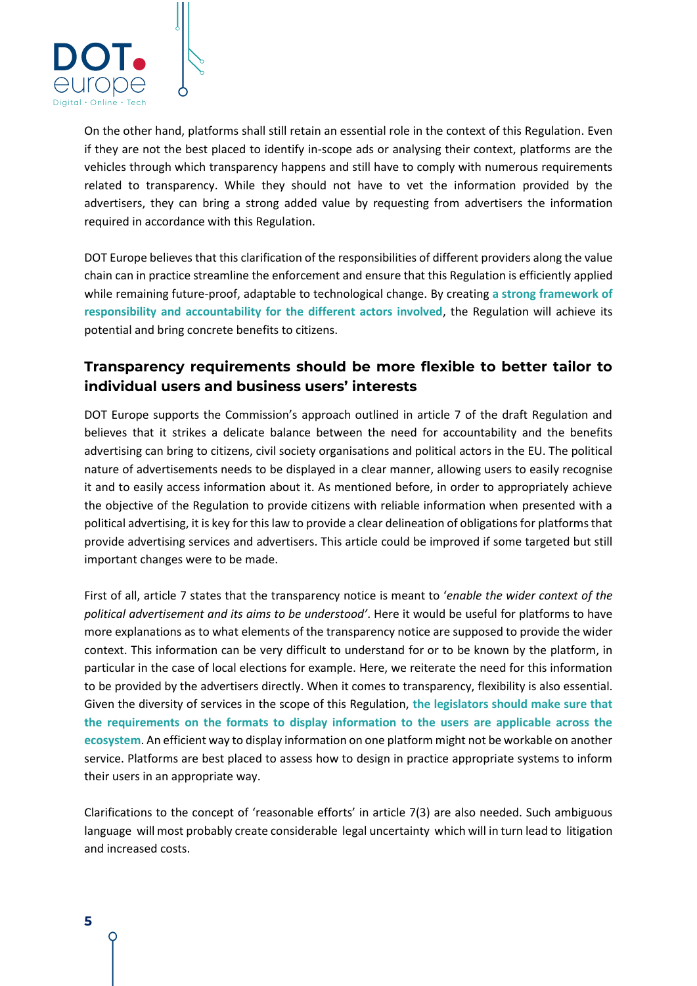

On the other hand, platforms shall still retain an essential role in the context of this Regulation. Even if they are not the best placed to identify in-scope ads or analysing their context, platforms are the vehicles through which transparency happens and still have to comply with numerous requirements related to transparency. While they should not have to vet the information provided by the advertisers, they can bring a strong added value by requesting from advertisers the information required in accordance with this Regulation.

DOT Europe believes that this clarification of the responsibilities of different providers along the value chain can in practice streamline the enforcement and ensure that this Regulation is efficiently applied while remaining future-proof, adaptable to technological change. By creating **a strong framework of responsibility and accountability for the different actors involved**, the Regulation will achieve its potential and bring concrete benefits to citizens.

## **Transparency requirements should be more flexible to better tailor to individual users and business users' interests**

DOT Europe supports the Commission's approach outlined in article 7 of the draft Regulation and believes that it strikes a delicate balance between the need for accountability and the benefits advertising can bring to citizens, civil society organisations and political actors in the EU. The political nature of advertisements needs to be displayed in a clear manner, allowing users to easily recognise it and to easily access information about it. As mentioned before, in order to appropriately achieve the objective of the Regulation to provide citizens with reliable information when presented with a political advertising, it is key for this law to provide a clear delineation of obligations for platforms that provide advertising services and advertisers. This article could be improved if some targeted but still important changes were to be made.

First of all, article 7 states that the transparency notice is meant to '*enable the wider context of the political advertisement and its aims to be understood'*. Here it would be useful for platforms to have more explanations as to what elements of the transparency notice are supposed to provide the wider context. This information can be very difficult to understand for or to be known by the platform, in particular in the case of local elections for example. Here, we reiterate the need for this information to be provided by the advertisers directly. When it comes to transparency, flexibility is also essential. Given the diversity of services in the scope of this Regulation, **the legislators should make sure that the requirements on the formats to display information to the users are applicable across the ecosystem**. An efficient way to display information on one platform might not be workable on another service. Platforms are best placed to assess how to design in practice appropriate systems to inform their users in an appropriate way.

Clarifications to the concept of 'reasonable efforts' in article 7(3) are also needed. Such ambiguous language will most probably create considerable legal uncertainty which will in turn lead to litigation and increased costs.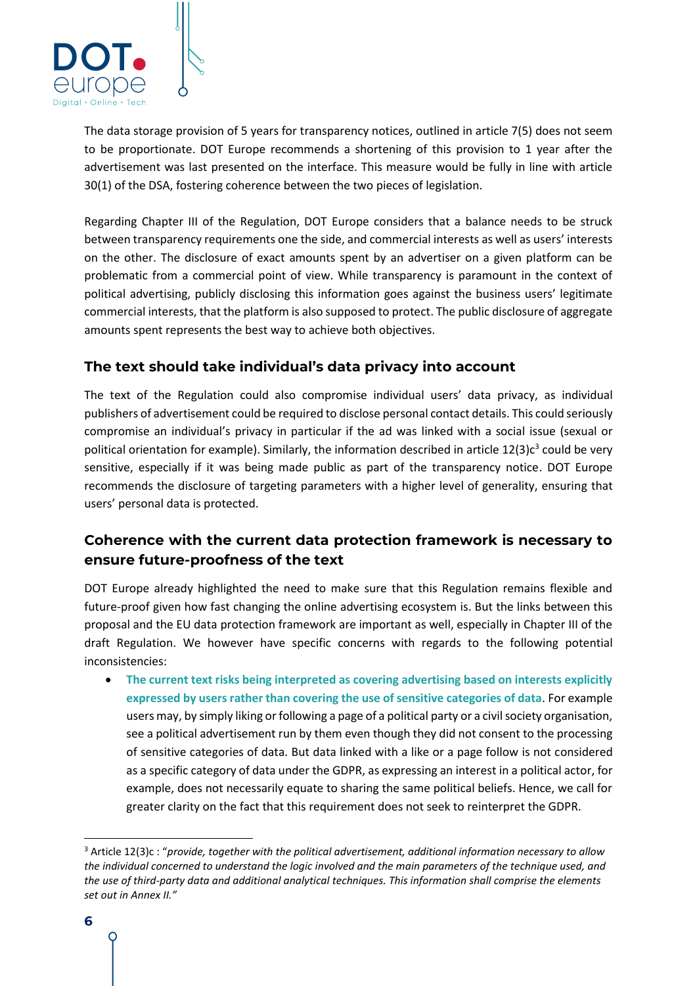

The data storage provision of 5 years for transparency notices, outlined in article 7(5) does not seem to be proportionate. DOT Europe recommends a shortening of this provision to 1 year after the advertisement was last presented on the interface. This measure would be fully in line with article 30(1) of the DSA, fostering coherence between the two pieces of legislation.

Regarding Chapter III of the Regulation, DOT Europe considers that a balance needs to be struck between transparency requirements one the side, and commercial interests as well as users' interests on the other. The disclosure of exact amounts spent by an advertiser on a given platform can be problematic from a commercial point of view. While transparency is paramount in the context of political advertising, publicly disclosing this information goes against the business users' legitimate commercial interests, that the platform is also supposed to protect. The public disclosure of aggregate amounts spent represents the best way to achieve both objectives.

### **The text should take individual's data privacy into account**

The text of the Regulation could also compromise individual users' data privacy, as individual publishers of advertisement could be required to disclose personal contact details. This could seriously compromise an individual's privacy in particular if the ad was linked with a social issue (sexual or political orientation for example). Similarly, the information described in article  $12(3)c<sup>3</sup>$  could be very sensitive, especially if it was being made public as part of the transparency notice. DOT Europe recommends the disclosure of targeting parameters with a higher level of generality, ensuring that users' personal data is protected.

## **Coherence with the current data protection framework is necessary to ensure future-proofness of the text**

DOT Europe already highlighted the need to make sure that this Regulation remains flexible and future-proof given how fast changing the online advertising ecosystem is. But the links between this proposal and the EU data protection framework are important as well, especially in Chapter III of the draft Regulation. We however have specific concerns with regards to the following potential inconsistencies:

• **The current text risks being interpreted as covering advertising based on interests explicitly expressed by users rather than covering the use of sensitive categories of data**. For example users may, by simply liking or following a page of a political party or a civil society organisation, see a political advertisement run by them even though they did not consent to the processing of sensitive categories of data. But data linked with a like or a page follow is not considered as a specific category of data under the GDPR, as expressing an interest in a political actor, for example, does not necessarily equate to sharing the same political beliefs. Hence, we call for greater clarity on the fact that this requirement does not seek to reinterpret the GDPR.

<sup>3</sup> Article 12(3)c : "*provide, together with the political advertisement, additional information necessary to allow the individual concerned to understand the logic involved and the main parameters of the technique used, and the use of third-party data and additional analytical techniques. This information shall comprise the elements set out in Annex II."*